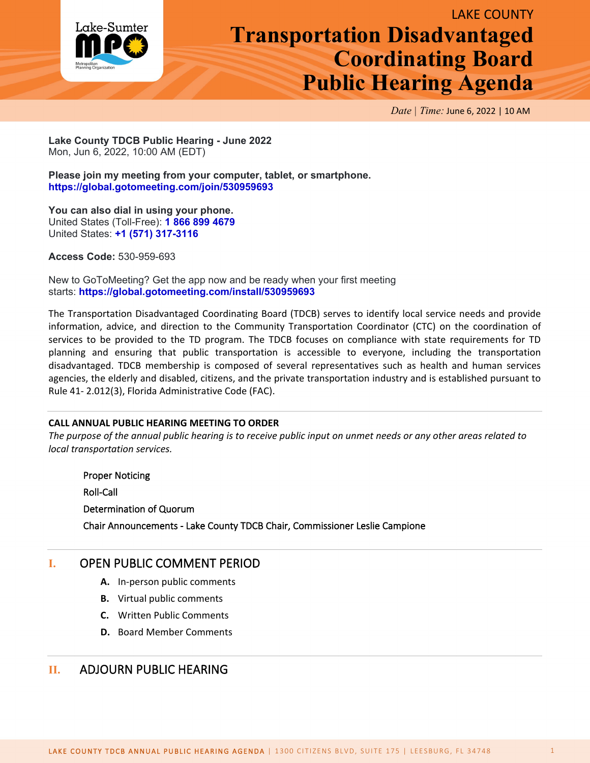

# LAKE COUNTY **Transportation Disadvantaged Coordinating Board Public Hearing Agenda**

*Date | Time:* June 6, 2022 | 10 AM

**Lake County TDCB Public Hearing - June 2022** Mon, Jun 6, 2022, 10:00 AM (EDT)

**Please join my meeting from your computer, tablet, or smartphone. <https://global.gotomeeting.com/join/530959693>**

**You can also dial in using your phone.** United States (Toll-Free): **[1 866 899 4679](tel:+18668994679,,530959693)** United States: **[+1 \(571\) 317-3116](tel:+15713173116,,530959693)**

**Access Code:** 530-959-693

New to GoToMeeting? Get the app now and be ready when your first meeting starts: **<https://global.gotomeeting.com/install/530959693>**

The Transportation Disadvantaged Coordinating Board (TDCB) serves to identify local service needs and provide information, advice, and direction to the Community Transportation Coordinator (CTC) on the coordination of services to be provided to the TD program. The TDCB focuses on compliance with state requirements for TD planning and ensuring that public transportation is accessible to everyone, including the transportation disadvantaged. TDCB membership is composed of several representatives such as health and human services agencies, the elderly and disabled, citizens, and the private transportation industry and is established pursuant to Rule 41- 2.012(3), Florida Administrative Code (FAC).

### **CALL ANNUAL PUBLIC HEARING MEETING TO ORDER**

*The purpose of the annual public hearing is to receive public input on unmet needs or any other areas related to local transportation services.*

Proper Noticing Roll-Call Determination of Quorum Chair Announcements - Lake County TDCB Chair, Commissioner Leslie Campione

## **I.** OPEN PUBLIC COMMENT PERIOD

- **A.** In-person public comments
- **B.** Virtual public comments
- **C.** Written Public Comments
- **D.** Board Member Comments

## **II.** ADJOURN PUBLIC HEARING